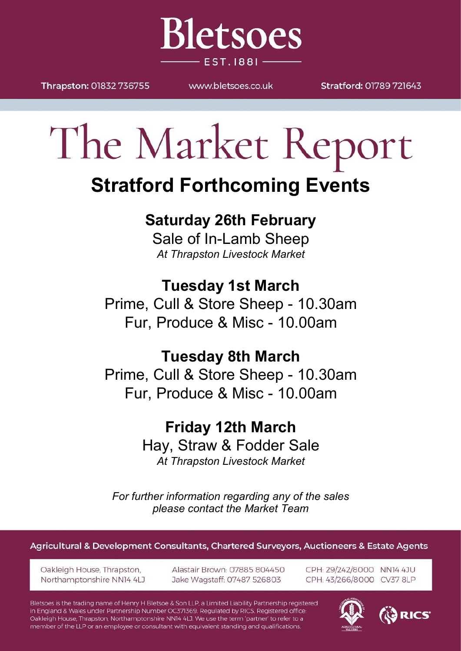Thrapston: 01832 736755

MAAAN bletsnes couk

**Bletsoes** 

**EST. 1881-**

Stratford: 01789 721643

# The Market Report

## **Stratford Forthcoming Events**

## **Saturday 26th February**

Sale of In-Lamb Sheep *At Thrapston Livestock Market*

**Tuesday 1st March**

Prime, Cull & Store Sheep - 10.30am Fur, Produce & Misc - 10.00am

### **Tuesday 8th March**

Prime, Cull & Store Sheep - 10.30am Fur, Produce & Misc - 10.00am

> **Friday 12th March** Hay, Straw & Fodder Sale *At Thrapston Livestock Market*

*For further information regarding any of the sales please contact the Market Team*

Agricultural & Development Consultants, Chartered Surveyors, Auctioneers & Estate Agents

Oakleigh House, Thrapston, Northamptonshire NN14 4LJ Alastair Brown: 07885 804450 Jake Wagstaff: 07487 526803

CPH: 29/242/8000 NN14 4JU CPH: 43/266/8000 CV37 8LP

Bletsoes is the trading name of Henry H Bletsoe & Son LLP, a Limited Liability Partnership registered in England & Wales under Partnership Number OC371369. Regulated by RICS. Registered office: Oakleigh House, Thrapston, Northamptonshire NN14 4LJ. We use the term 'partner' to refer to a member of the LLP or an employee or consultant with equivalent standing and qualifications.



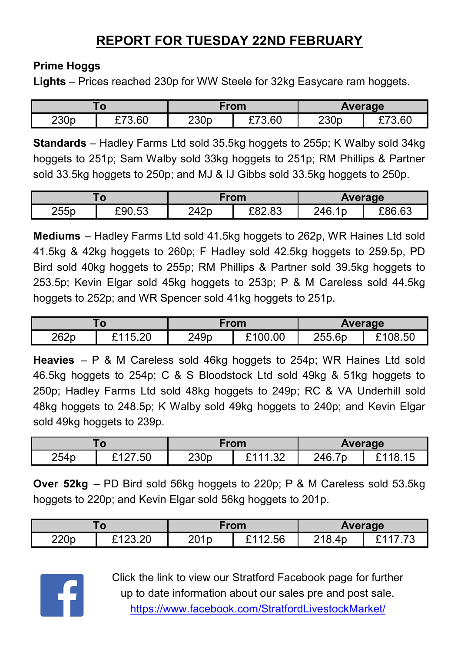#### **REPORT FOR TUESDAY 22ND FEBRUARY**

#### **Prime Hoggs**

**Lights** – Prices reached 230p for WW Steele for 32kg Easycare ram hoggets.

| w                |                     | From             |        | Average |             |
|------------------|---------------------|------------------|--------|---------|-------------|
| 230 <sub>p</sub> | 3.60<br><b>^ᄀ</b> へ | 230 <sub>p</sub> | £73.60 | 230p    | 3.60<br>— 1 |

**Standards** – Hadley Farms Ltd sold 35.5kg hoggets to 255p; K Walby sold 34kg hoggets to 251p; Sam Walby sold 33kg hoggets to 251p; RM Phillips & Partner sold 33.5kg hoggets to 250p; and MJ & IJ Gibbs sold 33.5kg hoggets to 250p.

|      |        | From |        | <b>Average</b> |        |
|------|--------|------|--------|----------------|--------|
| 255p | £90.53 | 242p | £82.83 | 246.1p         | £86.63 |

**Mediums** – Hadley Farms Ltd sold 41.5kg hoggets to 262p, WR Haines Ltd sold 41.5kg & 42kg hoggets to 260p; F Hadley sold 42.5kg hoggets to 259.5p, PD Bird sold 40kg hoggets to 255p; RM Phillips & Partner sold 39.5kg hoggets to 253.5p; Kevin Elgar sold 45kg hoggets to 253p; P & M Careless sold 44.5kg hoggets to 252p; and WR Spencer sold 41kg hoggets to 251p.

|      |                    | From |        | Average |        |
|------|--------------------|------|--------|---------|--------|
| 262p | ാല<br>2115<br>J.∠∪ | 249p | 100.00 | 255.6p  | 108.50 |

**Heavies** – P & M Careless sold 46kg hoggets to 254p; WR Haines Ltd sold 46.5kg hoggets to 254p; C & S Bloodstock Ltd sold 49kg & 51kg hoggets to 250p; Hadley Farms Ltd sold 48kg hoggets to 249p; RC & VA Underhill sold 48kg hoggets to 248.5p; K Walby sold 49kg hoggets to 240p; and Kevin Elgar sold 49kg hoggets to 239p.

| w    |              | From             |                                        | <b>Average</b> |            |
|------|--------------|------------------|----------------------------------------|----------------|------------|
| 254p | ົາ ລາ<br>.50 | 230 <sub>p</sub> | or<br>$\overline{\phantom{a}}$<br>ے ت. | 7p<br>246.7    | 18.<br>ے ا |

**Over 52kg** – PD Bird sold 56kg hoggets to 220p; P & M Careless sold 53.5kg hoggets to 220p; and Kevin Elgar sold 56kg hoggets to 201p.

| .u   |                   | From             |         | <b>Average</b> |  |
|------|-------------------|------------------|---------|----------------|--|
| 220p | L400.00<br>123.ZU | 201 <sub>p</sub> | ፤112.56 | 218.4p         |  |



Click the link to view our Stratford Facebook page for further up to date information about our sales pre and post sale. <https://www.facebook.com/StratfordLivestockMarket/>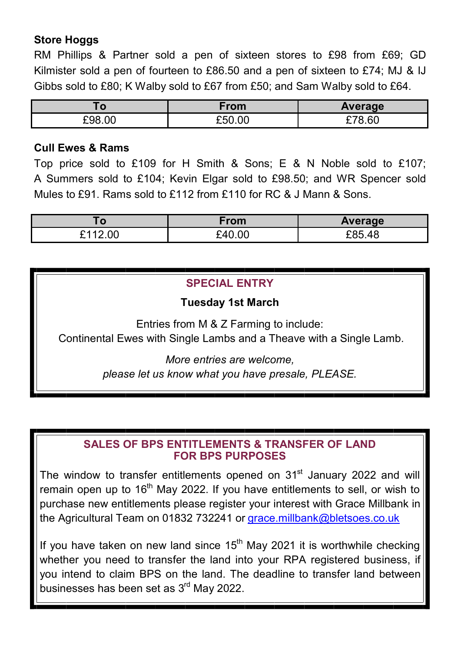#### **Store Hoggs**

RM Phillips & Partner sold a pen of sixteen stores to £98 from £69; GD Kilmister sold a pen of fourteen to £86.50 and a pen of sixteen to £74; MJ & IJ Gibbs sold to £80; K Walby sold to £67 from £50; and Sam Walby sold to £64.

| w      | rom    | Average       |  |
|--------|--------|---------------|--|
| £98.00 | 350.00 | $\sim$<br>.ol |  |

#### **Cull Ewes & Rams**

Top price sold to £109 for H Smith & Sons; E & N Noble sold to £107; A Summers sold to £104; Kevin Elgar sold to £98.50; and WR Spencer sold Mules to £91. Rams sold to £112 from £110 for RC & J Mann & Sons.

| . 0                     | From   | Average            |
|-------------------------|--------|--------------------|
| 2.00<br><b>ヽィィ</b><br>- | £40.00 | <u>ገጸና</u><br>3.48 |

#### **SPECIAL ENTRY**

#### **Tuesday 1st March**

Entries from M & Z Farming to include: Continental Ewes with Single Lambs and a Theave with a Single Lamb.

> *More entries are welcome, please let us know what you have presale, PLEASE.*

#### **SALES OF BPS ENTITLEMENTS & TRANSFER OF LAND FOR BPS PURPOSES**

The window to transfer entitlements opened on 31<sup>st</sup> January 2022 and will remain open up to 16<sup>th</sup> May 2022. If you have entitlements to sell, or wish to purchase new entitlements please register your interest with Grace Millbank in the Agricultural Team on 01832 732241 or [grace.millbank@bletsoes.co.uk](mailto:grace.millbank@bletsoes.co.uk)

If you have taken on new land since  $15<sup>th</sup>$  May 2021 it is worthwhile checking whether you need to transfer the land into your RPA registered business, if you intend to claim BPS on the land. The deadline to transfer land between businesses has been set as 3<sup>rd</sup> May 2022.